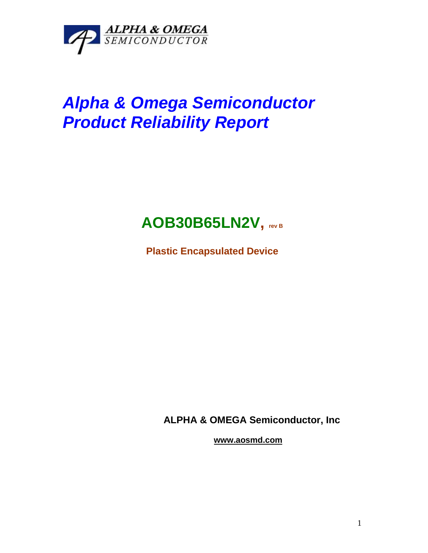

# *Alpha & Omega Semiconductor Product Reliability Report*

# **AOB30B65LN2V, rev <sup>B</sup>**

**Plastic Encapsulated Device**

**ALPHA & OMEGA Semiconductor, Inc**

**www.aosmd.com**